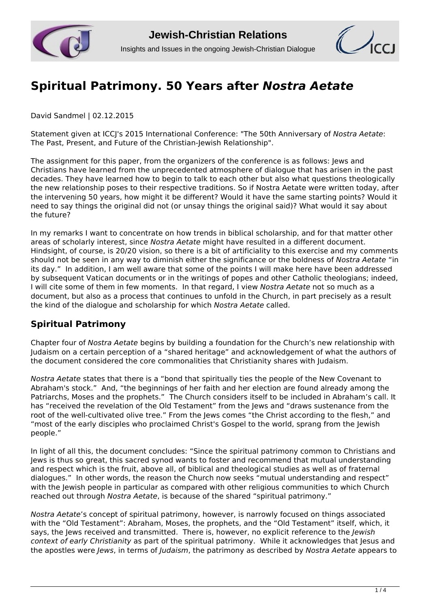



## **[Spiritual Patrimony. 50 Years after](http://www.jcrelations.net/Spiritual_Patrimony__50_Years_after__i_Nostra_Aetate__i.5200.0.html?L=3)** *[Nostra Aetate](http://www.jcrelations.net/Spiritual_Patrimony__50_Years_after__i_Nostra_Aetate__i.5200.0.html?L=3)*

David Sandmel | 02.12.2015

Statement given at ICCJ's 2015 International Conference: "The 50th Anniversary of *Nostra Aetate*: The Past, Present, and Future of the Christian-Jewish Relationship".

The assignment for this paper, from the organizers of the conference is as follows: Jews and Christians have learned from the unprecedented atmosphere of dialogue that has arisen in the past decades. They have learned how to begin to talk to each other but also what questions theologically the new relationship poses to their respective traditions. So if Nostra Aetate were written today, after the intervening 50 years, how might it be different? Would it have the same starting points? Would it need to say things the original did not (or unsay things the original said)? What would it say about the future?

In my remarks I want to concentrate on how trends in biblical scholarship, and for that matter other areas of scholarly interest, since *Nostra Aetate* might have resulted in a different document. Hindsight, of course, is 20/20 vision, so there is a bit of artificiality to this exercise and my comments should not be seen in any way to diminish either the significance or the boldness of *Nostra Aetate* "in its day." In addition, I am well aware that some of the points I will make here have been addressed by subsequent Vatican documents or in the writings of popes and other Catholic theologians; indeed, I will cite some of them in few moments. In that regard, I view *Nostra Aetate* not so much as a document, but also as a process that continues to unfold in the Church, in part precisely as a result the kind of the dialogue and scholarship for which *Nostra Aetate* called.

## **Spiritual Patrimony**

Chapter four of *Nostra Aetate* begins by building a foundation for the Church's new relationship with Judaism on a certain perception of a "shared heritage" and acknowledgement of what the authors of the document considered the core commonalities that Christianity shares with Judaism.

*Nostra Aetate* states that there is a "bond that spiritually ties the people of the New Covenant to Abraham's stock." And, "the beginnings of her faith and her election are found already among the Patriarchs, Moses and the prophets." The Church considers itself to be included in Abraham's call. It has "received the revelation of the Old Testament" from the Jews and "draws sustenance from the root of the well-cultivated olive tree." From the Jews comes "the Christ according to the flesh." and "most of the early disciples who proclaimed Christ's Gospel to the world, sprang from the Jewish people."

In light of all this, the document concludes: "Since the spiritual patrimony common to Christians and Jews is thus so great, this sacred synod wants to foster and recommend that mutual understanding and respect which is the fruit, above all, of biblical and theological studies as well as of fraternal dialogues." In other words, the reason the Church now seeks "mutual understanding and respect" with the Jewish people in particular as compared with other religious communities to which Church reached out through *Nostra Aetate*, is because of the shared "spiritual patrimony."

*Nostra Aetate*'s concept of spiritual patrimony, however, is narrowly focused on things associated with the "Old Testament": Abraham, Moses, the prophets, and the "Old Testament" itself, which, it says, the Jews received and transmitted. There is, however, no explicit reference to the *Jewish context of early Christianity* as part of the spiritual patrimony. While it acknowledges that Jesus and the apostles were *Jews*, in terms of *Judaism*, the patrimony as described by *Nostra Aetate* appears to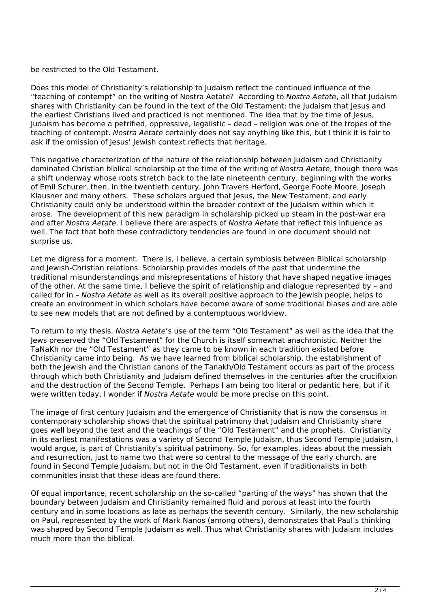be restricted to the Old Testament.

Does this model of Christianity's relationship to Judaism reflect the continued influence of the "teaching of contempt" on the writing of Nostra Aetate? According to *Nostra Aetate*, all that Judaism shares with Christianity can be found in the text of the Old Testament; the Judaism that Jesus and the earliest Christians lived and practiced is not mentioned. The idea that by the time of Jesus, Judaism has become a petrified, oppressive, legalistic – dead – religion was one of the tropes of the teaching of contempt. *Nostra Aetate* certainly does not say anything like this, but I think it is fair to ask if the omission of Jesus' Jewish context reflects that heritage.

This negative characterization of the nature of the relationship between Judaism and Christianity dominated Christian biblical scholarship at the time of the writing of *Nostra Aetate*, though there was a shift underway whose roots stretch back to the late nineteenth century, beginning with the works of Emil Schurer, then, in the twentieth century, John Travers Herford, George Foote Moore, Joseph Klausner and many others. These scholars argued that Jesus, the New Testament, and early Christianity could only be understood within the broader context of the Judaism within which it arose. The development of this new paradigm in scholarship picked up steam in the post-war era and after *Nostra Aetate*. I believe there are aspects of *Nostra Aetate* that reflect this influence as well. The fact that both these contradictory tendencies are found in one document should not surprise us.

Let me digress for a moment. There is, I believe, a certain symbiosis between Biblical scholarship and Jewish-Christian relations. Scholarship provides models of the past that undermine the traditional misunderstandings and misrepresentations of history that have shaped negative images of the other. At the same time, I believe the spirit of relationship and dialogue represented by – and called for in – *Nostra Aetate* as well as its overall positive approach to the Jewish people, helps to create an environment in which scholars have become aware of some traditional biases and are able to see new models that are not defined by a contemptuous worldview.

To return to my thesis, *Nostra Aetate*'s use of the term "Old Testament" as well as the idea that the Jews preserved the "Old Testament" for the Church is itself somewhat anachronistic. Neither the TaNaKh nor the "Old Testament" as they came to be known in each tradition existed before Christianity came into being. As we have learned from biblical scholarship, the establishment of both the Jewish and the Christian canons of the Tanakh/Old Testament occurs as part of the process through which both Christianity and Judaism defined themselves in the centuries after the crucifixion and the destruction of the Second Temple. Perhaps I am being too literal or pedantic here, but if it were written today, I wonder if *Nostra Aetate* would be more precise on this point.

The image of first century Judaism and the emergence of Christianity that is now the consensus in contemporary scholarship shows that the spiritual patrimony that Judaism and Christianity share goes well beyond the text and the teachings of the "Old Testament" and the prophets. Christianity in its earliest manifestations was a variety of Second Temple Judaism, thus Second Temple Judaism, I would argue, is part of Christianity's spiritual patrimony. So, for examples, ideas about the messiah and resurrection, just to name two that were so central to the message of the early church, are found in Second Temple Judaism, but not in the Old Testament, even if traditionalists in both communities insist that these ideas are found there.

Of equal importance, recent scholarship on the so-called "parting of the ways" has shown that the boundary between Judaism and Christianity remained fluid and porous at least into the fourth century and in some locations as late as perhaps the seventh century. Similarly, the new scholarship on Paul, represented by the work of Mark Nanos (among others), demonstrates that Paul's thinking was shaped by Second Temple Judaism as well. Thus what Christianity shares with Judaism includes much more than the biblical.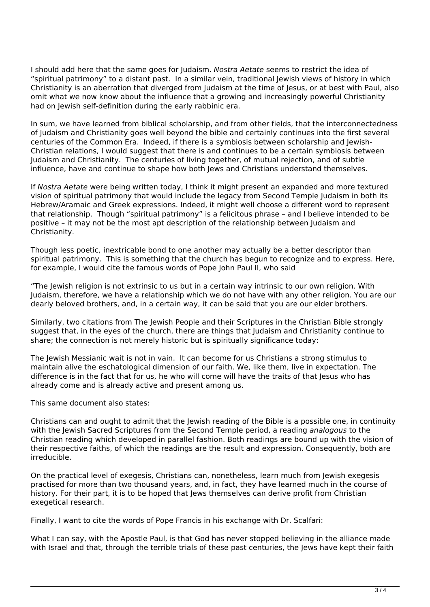I should add here that the same goes for Judaism. *Nostra Aetate* seems to restrict the idea of "spiritual patrimony" to a distant past. In a similar vein, traditional Jewish views of history in which Christianity is an aberration that diverged from Judaism at the time of Jesus, or at best with Paul, also omit what we now know about the influence that a growing and increasingly powerful Christianity had on Jewish self-definition during the early rabbinic era.

In sum, we have learned from biblical scholarship, and from other fields, that the interconnectedness of Judaism and Christianity goes well beyond the bible and certainly continues into the first several centuries of the Common Era. Indeed, if there is a symbiosis between scholarship and Jewish-Christian relations, I would suggest that there is and continues to be a certain symbiosis between Judaism and Christianity. The centuries of living together, of mutual rejection, and of subtle influence, have and continue to shape how both Jews and Christians understand themselves.

If *Nostra Aetate* were being written today, I think it might present an expanded and more textured vision of spiritual patrimony that would include the legacy from Second Temple Judaism in both its Hebrew/Aramaic and Greek expressions. Indeed, it might well choose a different word to represent that relationship. Though "spiritual patrimony" is a felicitous phrase – and I believe intended to be positive – it may not be the most apt description of the relationship between Judaism and Christianity.

Though less poetic, inextricable bond to one another may actually be a better descriptor than spiritual patrimony. This is something that the church has begun to recognize and to express. Here, for example, I would cite the famous words of Pope John Paul II, who said

"The Jewish religion is not extrinsic to us but in a certain way intrinsic to our own religion. With Judaism, therefore, we have a relationship which we do not have with any other religion. You are our dearly beloved brothers, and, in a certain way, it can be said that you are our elder brothers.

Similarly, two citations from The Jewish People and their Scriptures in the Christian Bible strongly suggest that, in the eyes of the church, there are things that Judaism and Christianity continue to share; the connection is not merely historic but is spiritually significance today:

The Jewish Messianic wait is not in vain. It can become for us Christians a strong stimulus to maintain alive the eschatological dimension of our faith. We, like them, live in expectation. The difference is in the fact that for us, he who will come will have the traits of that Jesus who has already come and is already active and present among us.

This same document also states:

Christians can and ought to admit that the Jewish reading of the Bible is a possible one, in continuity with the Jewish Sacred Scriptures from the Second Temple period, a reading *analogous* to the Christian reading which developed in parallel fashion. Both readings are bound up with the vision of their respective faiths, of which the readings are the result and expression. Consequently, both are irreducible.

On the practical level of exegesis, Christians can, nonetheless, learn much from Jewish exegesis practised for more than two thousand years, and, in fact, they have learned much in the course of history. For their part, it is to be hoped that lews themselves can derive profit from Christian exegetical research.

Finally, I want to cite the words of Pope Francis in his exchange with Dr. Scalfari:

What I can say, with the Apostle Paul, is that God has never stopped believing in the alliance made with Israel and that, through the terrible trials of these past centuries, the Jews have kept their faith